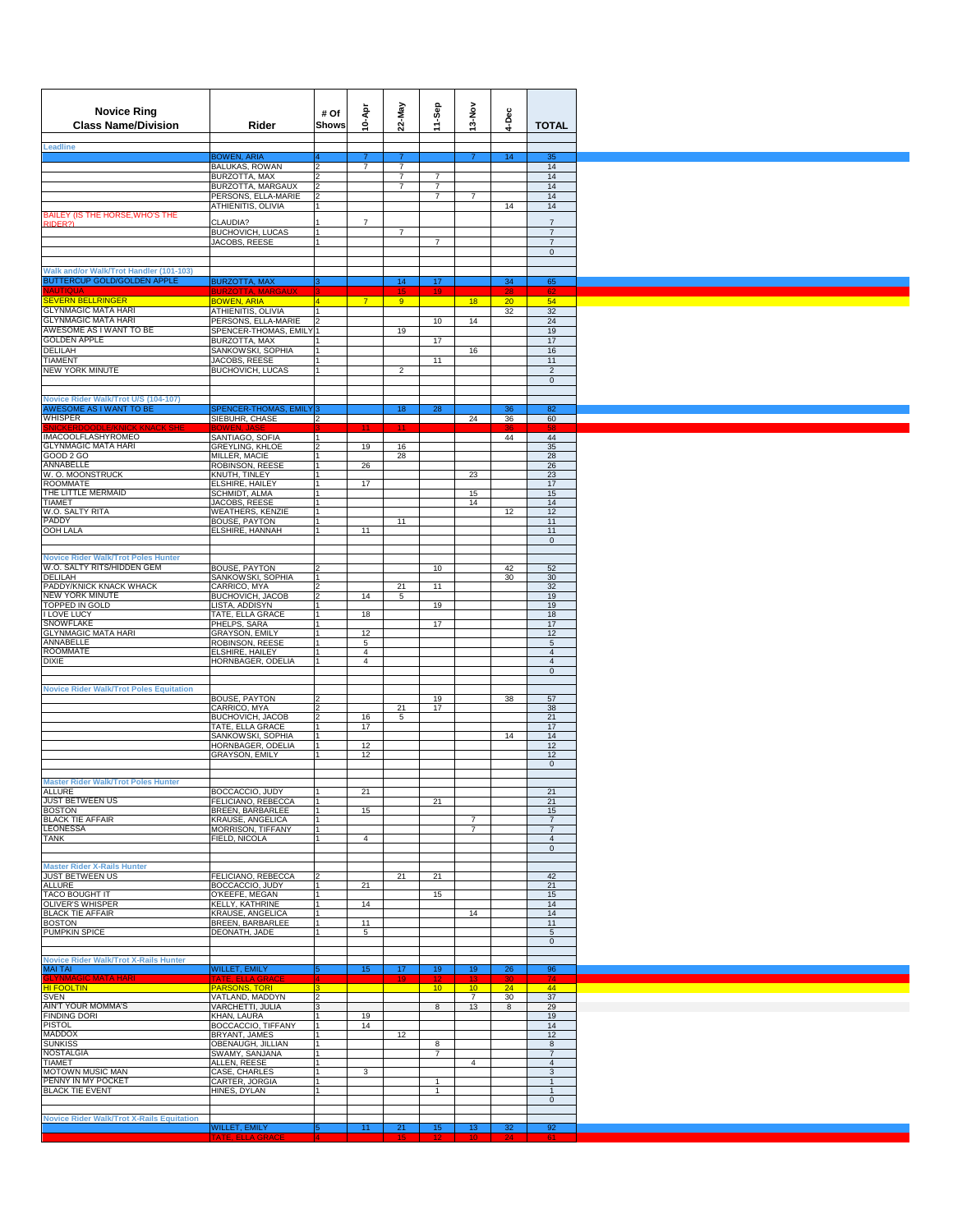| <b>Novice Ring</b><br><b>Class Name/Division</b><br><b>Leadline</b>    | Rider                                           | # Of<br>Shows         | 10-Apr                           | 22-May                           | 11-Sep                | 13-Nov                | 4-Dec                 | <b>TOTAL</b>                       |
|------------------------------------------------------------------------|-------------------------------------------------|-----------------------|----------------------------------|----------------------------------|-----------------------|-----------------------|-----------------------|------------------------------------|
|                                                                        | <b>BOWEN, ARIA</b>                              | $\mathfrak{p}$        |                                  |                                  |                       |                       | 14                    | 35                                 |
|                                                                        | <b>BALUKAS, ROWAN</b><br>BURZOTTA, MAX          | $\overline{2}$        | $\overline{7}$                   | $\overline{7}$<br>$\overline{7}$ | $\overline{7}$        |                       |                       | 14<br>14                           |
|                                                                        | BURZOTTA, MARGAUX                               | 2                     |                                  | $\overline{7}$                   | $\overline{7}$        |                       |                       | 14                                 |
|                                                                        | PERSONS, ELLA-MARIE<br>ATHIENITIS, OLIVIA       | $\overline{2}$<br>1   |                                  |                                  | $\boldsymbol{7}$      | $\overline{7}$        | 14                    | 14<br>14                           |
| BAILEY (IS THE HORSE, WHO'S THE                                        |                                                 |                       |                                  |                                  |                       |                       |                       |                                    |
| RIDER?)                                                                | CLAUDIA?<br>BUCHOVICH, LUCAS                    | $\vert$ 1             | $\overline{7}$                   | $\overline{7}$                   |                       |                       |                       | $\boldsymbol{7}$<br>$\overline{7}$ |
|                                                                        | JACOBS, REESE                                   |                       |                                  |                                  | $\overline{7}$        |                       |                       | $\overline{7}$                     |
|                                                                        |                                                 |                       |                                  |                                  |                       |                       |                       | $\mathbf 0$                        |
| Walk and/or Walk/Trot Handler (101-103)                                |                                                 |                       |                                  |                                  |                       |                       |                       |                                    |
| <b>BUTTERCUP GOLD/GOLDEN APPLE</b>                                     | <b>BURZOTTA, MAX</b>                            | lз                    |                                  | 14                               | 17                    |                       | 34                    | 65                                 |
| <b>SEVERN BELLRINGER</b>                                               | <b>BURZOTTA, MARGAUX</b><br><b>BOWEN, ARIA</b>  | 4                     | $7^{\circ}$                      | 15 <sub>1</sub><br>9             | 19                    | 18                    | 28<br>20 <sub>2</sub> | 62<br>54                           |
| <b>GLYNMAGIC MATA HARI</b>                                             | ATHIENITIS, OLIVIA                              | $\vert$ 1             |                                  |                                  |                       |                       | 32                    | 32                                 |
| <b>GLYNMAGIC MATA HARI</b>                                             | PERSONS, ELLA-MARIE                             | $\vert$ <sub>2</sub>  |                                  |                                  | 10                    | 14                    |                       | 24                                 |
| AWESOME AS I WANT TO BE<br><b>GOLDEN APPLE</b>                         | SPENCER-THOMAS, EMILY 1<br>BURZOTTA, MAX        |                       |                                  | 19                               | 17                    |                       |                       | 19<br>17                           |
| <b>DELILAH</b>                                                         | SANKOWSKI, SOPHIA                               |                       |                                  |                                  |                       | 16                    |                       | 16                                 |
| <b>TIAMENT</b>                                                         | JACOBS, REESE                                   |                       |                                  |                                  | 11                    |                       |                       | 11                                 |
| NEW YORK MINUTE                                                        | BUCHOVICH, LUCAS                                |                       |                                  | $\overline{2}$                   |                       |                       |                       | $\overline{2}$<br>$\mathbf 0$      |
|                                                                        |                                                 |                       |                                  |                                  |                       |                       |                       |                                    |
| Novice Rider Walk/Trot U/S (104-107)<br><b>AWESOME AS I WANT TO BE</b> | SPENCER-THOMAS, EMILY <sup>3</sup>              |                       |                                  | 18                               | 28                    |                       | 36                    | 82                                 |
| <b>WHISPER</b>                                                         | SIEBUHR, CHASE                                  | $\overline{2}$        |                                  |                                  |                       | 24                    | 36                    | 60                                 |
|                                                                        |                                                 |                       |                                  |                                  |                       |                       |                       |                                    |
| <b>IMACOOLFLASHYROMEO</b><br><b>GLYNMAGIC MATA HARI</b>                | SANTIAGO, SOFIA<br>GREYLING, KHLOE              | Ī1<br>l 2             | 19                               | 16                               |                       |                       | 44                    | 44<br>35                           |
| GOOD 2 GO                                                              | MILLER, MACIE                                   |                       |                                  | 28                               |                       |                       |                       | 28                                 |
| ANNABELLE<br>W. O. MOONSTRUCK                                          | ROBINSON, REESE                                 | l 1                   | 26                               |                                  |                       |                       |                       | 26                                 |
| <b>ROOMMATE</b>                                                        | KNUTH, TINLEY<br>ELSHIRE, HAILEY                | l 1<br>l 1            | 17                               |                                  |                       | 23                    |                       | 23<br>17                           |
| THE LITTLE MERMAID                                                     | SCHMIDT, ALMA                                   | l 1                   |                                  |                                  |                       | 15                    |                       | 15                                 |
| <b>TIAMET</b>                                                          | JACOBS, REESE                                   | l 1                   |                                  |                                  |                       | 14                    |                       | 14                                 |
| W.O. SALTY RITA<br>PADDY                                               | <b>WEATHERS, KENZIE</b><br><b>BOUSE, PAYTON</b> | l1<br>$\overline{1}$  |                                  | 11                               |                       |                       | 12                    | 12<br>11                           |
| <b>OOH LALA</b>                                                        | ELSHIRE, HANNAH                                 |                       | 11                               |                                  |                       |                       |                       | 11                                 |
|                                                                        |                                                 |                       |                                  |                                  |                       |                       |                       | $\mathbf{0}$                       |
| <b>Novice Rider Walk/Trot Poles Hunter</b>                             |                                                 |                       |                                  |                                  |                       |                       |                       |                                    |
| W.O. SALTY RITS/HIDDEN GEM                                             | BOUSE, PAYTON                                   |                       |                                  |                                  | 10                    |                       | 42                    | 52                                 |
| <b>DELILAH</b><br>PADDY/KNICK KNACK WHACK                              | SANKOWSKI, SOPHIA                               |                       |                                  | 21                               | 11                    |                       | 30                    | 30                                 |
| NEW YORK MINUTE                                                        | CARRICO, MYA<br>BUCHOVICH, JACOB                | I۰                    | 14                               | $\overline{5}$                   |                       |                       |                       | 32<br>19                           |
| TOPPED IN GOLD                                                         | LISTA, ADDISYN                                  | $\overline{1}$        |                                  |                                  | 19                    |                       |                       | 19                                 |
| <b>I LOVE LUCY</b><br><b>SNOWFLAKE</b>                                 | TATE, ELLA GRACE<br>PHELPS, SARA                | l 1                   | 18                               |                                  | 17                    |                       |                       | 18<br>17                           |
| <b>GLYNMAGIC MATA HARI</b>                                             | GRAYSON, EMILY                                  | $\overline{1}$        | 12                               |                                  |                       |                       |                       | 12                                 |
| ANNABELLE                                                              | ROBINSON, REESE                                 | $\overline{1}$        | 5                                |                                  |                       |                       |                       | $\sqrt{5}$                         |
| <b>ROOMMATE</b><br><b>DIXIE</b>                                        | ELSHIRE, HAILEY<br>HORNBAGER, ODELIA            |                       | $\overline{4}$<br>$\overline{4}$ |                                  |                       |                       |                       | $\overline{4}$<br>$\overline{4}$   |
|                                                                        |                                                 |                       |                                  |                                  |                       |                       |                       | $\mathbf 0$                        |
|                                                                        |                                                 |                       |                                  |                                  |                       |                       |                       |                                    |
| <b>Novice Rider Walk/Trot Poles Equitation</b>                         | <b>BOUSE, PAYTON</b>                            |                       |                                  |                                  | 19                    |                       | 38                    | 57                                 |
|                                                                        | CARRICO, MYA                                    |                       |                                  | 21                               | 17                    |                       |                       | 38                                 |
|                                                                        | BUCHOVICH, JACOB                                | $\overline{2}$        | 16                               | $\overline{5}$                   |                       |                       |                       | 21                                 |
|                                                                        | TATE, ELLA GRACE<br>SANKOWSKI, SOPHIA           | l 1                   | 17                               |                                  |                       |                       | 14                    | 17<br>14                           |
|                                                                        | HORNBAGER, ODELIA                               | l 1                   | 12                               |                                  |                       |                       |                       | 12                                 |
|                                                                        | <b>GRAYSON, EMILY</b>                           |                       | 12                               |                                  |                       |                       |                       | 12                                 |
|                                                                        |                                                 |                       |                                  |                                  |                       |                       |                       | $\mathbf 0$                        |
| <b>Master Rider Walk/Trot Poles Hunte</b>                              |                                                 |                       |                                  |                                  |                       |                       |                       |                                    |
| <b>ALLURE</b>                                                          | BOCCACCIO, JUDY                                 |                       | 21                               |                                  |                       |                       |                       | 21                                 |
| <b>JUST BETWEEN US</b><br><b>BOSTON</b>                                | FELICIANO, REBECCA<br>BREEN, BARBARLEE          |                       | 15                               |                                  | 21                    |                       |                       | 21<br>15                           |
| <b>BLACK TIE AFFAIR</b>                                                | KRAUSE, ANGELICA                                |                       |                                  |                                  |                       | $\overline{7}$        |                       | $\overline{7}$                     |
| <b>LEONESSA</b>                                                        | MORRISON, TIFFANY                               | $\overline{1}$        |                                  |                                  |                       | $\overline{7}$        |                       | $\overline{7}$                     |
| <b>TANK</b>                                                            | FIELD, NICOLA                                   |                       | $\overline{4}$                   |                                  |                       |                       |                       | $\overline{4}$<br>$\mathsf 0$      |
|                                                                        |                                                 |                       |                                  |                                  |                       |                       |                       |                                    |
| <b>Master Rider X-Rails Hunter</b>                                     |                                                 |                       |                                  |                                  |                       |                       |                       |                                    |
| <b>JUST BETWEEN US</b><br><b>ALLURE</b>                                | FELICIANO, REBECCA<br>BOCCACCIO, JUDY           |                       | 21                               | 21                               | 21                    |                       |                       | 42<br>21                           |
| TACO BOUGHT IT                                                         | O'KEEFE, MEGAN                                  |                       |                                  |                                  | 15                    |                       |                       | 15                                 |
| OLIVER'S WHISPER                                                       | KELLY, KATHRINE                                 |                       | 14                               |                                  |                       |                       |                       | 14                                 |
| <b>BLACK TIE AFFAIR</b><br><b>BOSTON</b>                               | KRAUSE, ANGELICA<br>BREEN, BARBARLEE            | l 1<br>l1             | 11                               |                                  |                       | 14                    |                       | 14<br>11                           |
| <b>PUMPKIN SPICE</b>                                                   | DEONATH, JADE                                   |                       | 5                                |                                  |                       |                       |                       | 5                                  |
|                                                                        |                                                 |                       |                                  |                                  |                       |                       |                       | $\mathbf 0$                        |
| <b>Novice Rider Walk/Trot X-Rails Hunter</b>                           |                                                 |                       |                                  |                                  |                       |                       |                       |                                    |
| <b>MAI TAI</b>                                                         | WILLET, EMILY                                   |                       | 15                               | 17                               | 19                    | 19                    | 26                    | 96                                 |
| ELYNMA<br>) MATA HARI<br><b>HI FOOLTIN</b>                             | <b>PARSONS, TORI</b>                            | $\overline{3}$        |                                  | 10                               | 10                    | 10                    | 24                    | 44                                 |
| <b>SVEN</b>                                                            | VATLAND, MADDYN                                 | $\overline{2}$        |                                  |                                  |                       | $\overline{7}$        | 30                    | 37                                 |
| AIN'T YOUR MOMMA'S                                                     | VARCHETTI, JULIA                                | 3                     |                                  |                                  | 8                     | 13                    | 8                     | 29                                 |
| <b>FINDING DORI</b><br><b>PISTOL</b>                                   | KHAN, LAURA                                     | l1                    | 19                               |                                  |                       |                       |                       | 19                                 |
| <b>MADDOX</b>                                                          | BOCCACCIO, TIFFANY<br>BRYANT, JAMES             |                       | 14                               | 12                               |                       |                       |                       | 14<br>12                           |
| <b>SUNKISS</b>                                                         | OBENAUGH, JILLIAN                               | l 1                   |                                  |                                  | 8                     |                       |                       | 8                                  |
| <b>NOSTALGIA</b><br><b>TIAMET</b>                                      | SWAMY, SANJANA<br>ALLEN, REESE                  | l 1<br>$\overline{1}$ |                                  |                                  | $\overline{7}$        | $\overline{4}$        |                       | $\overline{7}$<br>$\overline{4}$   |
| MOTOWN MUSIC MAN                                                       | CASE, CHARLES                                   | $\overline{1}$        | $\mathbf{3}$                     |                                  |                       |                       |                       | $\mathbf{3}$                       |
| PENNY IN MY POCKET                                                     | CARTER, JORGIA                                  | $\vert$ 1             |                                  |                                  | $\mathbf{1}$          |                       |                       | $\mathbf{1}$                       |
| <b>BLACK TIE EVENT</b>                                                 | HINES, DYLAN                                    | $\overline{1}$        |                                  |                                  | $\mathbf{1}$          |                       |                       | $\mathbf{1}$<br>$\mathbf 0$        |
|                                                                        |                                                 |                       |                                  |                                  |                       |                       |                       |                                    |
| <b>Novice Rider Walk/Trot X-Rails Equitation</b>                       |                                                 |                       |                                  |                                  |                       |                       |                       |                                    |
|                                                                        | WILLET, EMILY<br>TATE, ELLA GRACE               | $ 4\rangle$           | 11                               | 21<br>15 <sub>1</sub>            | 15<br>12 <sub>1</sub> | 13<br>10 <sub>1</sub> | 32<br>-24             | 92<br>-61                          |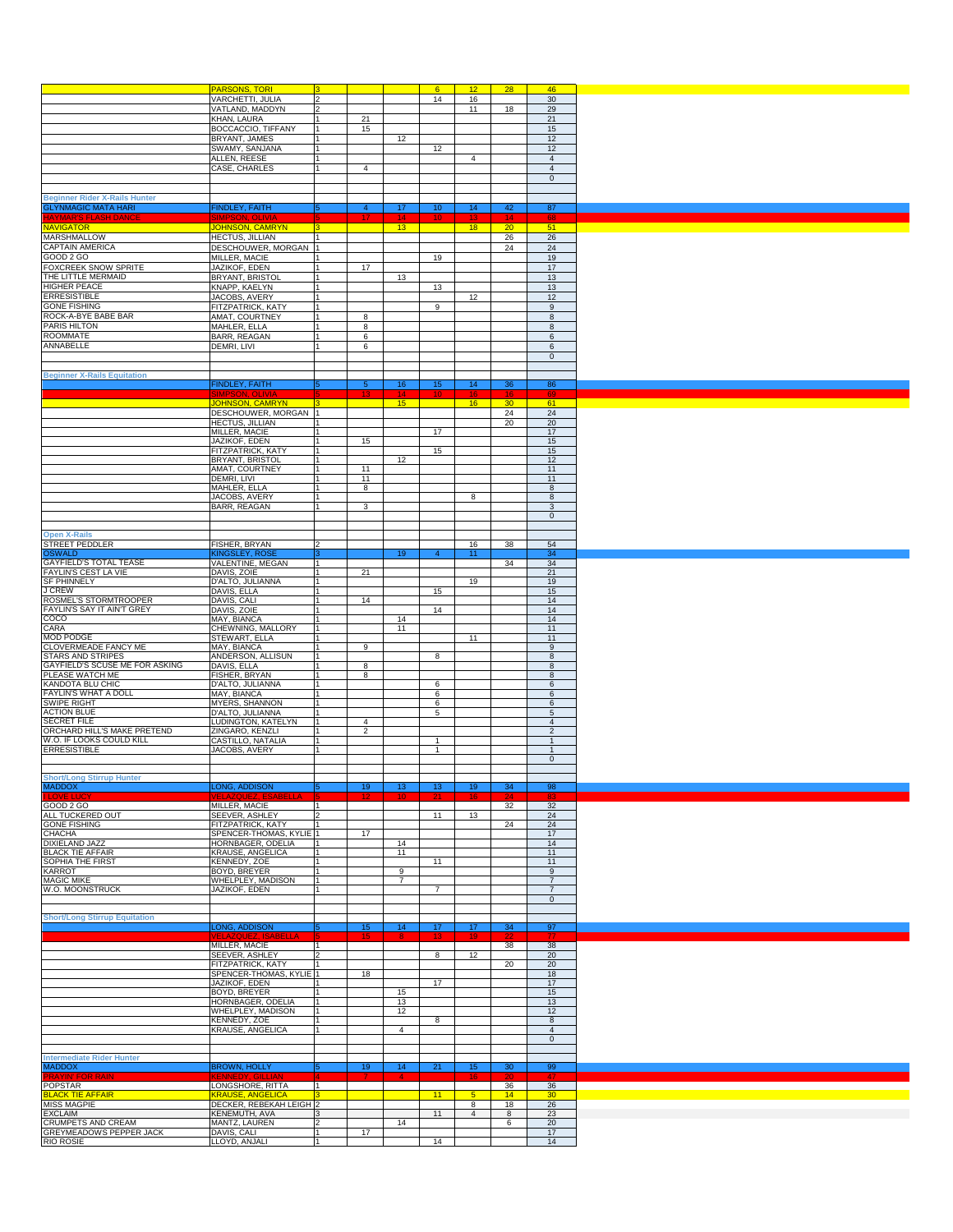|                                                                    | <b>PARSONS, TORI</b>                                 | Iз                             |                     |                 | 6 <sup>1</sup>  | 12 <sup>°</sup>     | 28                    | 46                                    |
|--------------------------------------------------------------------|------------------------------------------------------|--------------------------------|---------------------|-----------------|-----------------|---------------------|-----------------------|---------------------------------------|
|                                                                    | VARCHETTI, JULIA                                     | $\overline{2}$                 |                     |                 | 14              | 16                  |                       | 30                                    |
|                                                                    | VATLAND, MADDYN<br>KHAN, LAURA                       | $\overline{2}$<br>1            | 21                  |                 |                 | 11                  | 18                    | 29<br>21                              |
|                                                                    | BOCCACCIO, TIFFANY                                   | l 1                            | 15                  |                 |                 |                     |                       | 15                                    |
|                                                                    | BRYANT, JAMES<br>SWAMY, SANJANA                      | 1<br>11                        |                     | 12              | 12              |                     |                       | 12<br>12                              |
|                                                                    | ALLEN, REESE                                         | 11                             |                     |                 |                 | $\overline{4}$      |                       | $\overline{4}$                        |
|                                                                    | CASE, CHARLES                                        | 11                             | $\overline{4}$      |                 |                 |                     |                       | $\overline{4}$<br>$\mathsf{O}\xspace$ |
|                                                                    |                                                      |                                |                     |                 |                 |                     |                       |                                       |
| <b>Beginner Rider X-Rails Hunter</b><br><b>GLYNMAGIC MATA HARI</b> | <b>FINDLEY, FAITH</b>                                |                                | $\overline{4}$      | 17              | 10 <sub>2</sub> | 14                  | 42                    | 87                                    |
| <u> HAYMAR'S FLASH DANCI</u>                                       | iimpson, Olivia                                      |                                | 17 <sub>z</sub>     | 14              | 10 <sub>1</sub> | 13                  | -14                   | 68                                    |
| <b>NAVIGATOR</b><br>MARSHMALLOW                                    | <b>JOHNSON, CAMRYN</b><br><b>HECTUS, JILLIAN</b>     | 3 <br>$\vert$ 1                |                     | 13 <sup>°</sup> |                 | 18                  | 20 <sub>2</sub><br>26 | 51<br>26                              |
| <b>CAPTAIN AMERICA</b>                                             | DESCHOUWER, MORGAN 1                                 |                                |                     |                 |                 |                     | 24                    | 24                                    |
| GOOD 2 GO                                                          | MILLER, MACIE                                        | 11                             |                     |                 | 19              |                     |                       | 19                                    |
| FOXCREEK SNOW SPRITE<br>THE LITTLE MERMAID                         | JAZIKOF, EDEN<br><b>BRYANT, BRISTOL</b>              | 1<br>11                        | 17                  | 13              |                 |                     |                       | 17<br>13                              |
| HIGHER PEACE                                                       | KNAPP, KAELYN                                        | l 1                            |                     |                 | 13              |                     |                       | 13                                    |
| <b>ERRESISTIBLE</b><br><b>GONE FISHING</b>                         | JACOBS, AVERY                                        | l 1                            |                     |                 |                 | $12\,$              |                       | 12<br>9                               |
| ROCK-A-BYE BABE BAR                                                | FITZPATRICK, KATY<br>AMAT, COURTNEY                  | 11<br>11                       | 8                   |                 | 9               |                     |                       | 8                                     |
| PARIS HILTON                                                       | MAHLER, ELLA                                         | 11                             | 8                   |                 |                 |                     |                       | 8                                     |
| <b>ROOMMATE</b><br>ANNABELLE                                       | BARR, REAGAN<br>DEMRI, LIVI                          | 11<br>1                        | 6<br>6              |                 |                 |                     |                       | 6<br>$\,6\,$                          |
|                                                                    |                                                      |                                |                     |                 |                 |                     |                       | $\mathbf 0$                           |
|                                                                    |                                                      |                                |                     |                 |                 |                     |                       |                                       |
| <b>Beginner X-Rails Equitation</b>                                 | <b>FINDLEY, FAITH</b>                                |                                | 5                   | 16              | 15 <sub>1</sub> | 14                  | 36                    | 86                                    |
|                                                                    |                                                      |                                |                     |                 |                 |                     |                       |                                       |
|                                                                    | JOHNSON, CAMRYN 3<br>DESCHOUWER, MORGAN 1            |                                |                     | 15              |                 | 16                  | 30<br>24              | 61<br>24                              |
|                                                                    | <b>HECTUS, JILLIAN</b>                               |                                |                     |                 |                 |                     | 20                    | 20                                    |
|                                                                    | MILLER, MACIE<br>JAZIKOF, EDEN                       | $\vert$ 1<br>11                | 15                  |                 | 17              |                     |                       | 17<br>15                              |
|                                                                    | FITZPATRICK, KATY                                    | 1                              |                     |                 | 15              |                     |                       | 15                                    |
|                                                                    | BRYANT, BRISTOL                                      | 1<br>$\vert$ 1                 | 11                  | 12              |                 |                     |                       | 12<br>11                              |
|                                                                    | AMAT, COURTNEY<br>DEMRI, LIVI                        | l 1                            | 11                  |                 |                 |                     |                       | 11                                    |
|                                                                    | MAHLER, ELLA                                         | l 1                            | 8                   |                 |                 |                     |                       | 8                                     |
|                                                                    | JACOBS, AVERY<br>BARR, REAGAN                        | $\vert$ 1                      | 3                   |                 |                 | 8                   |                       | 8<br>3                                |
|                                                                    |                                                      |                                |                     |                 |                 |                     |                       | $\mathbf 0$                           |
| <b>Open X-Rails</b>                                                |                                                      |                                |                     |                 |                 |                     |                       |                                       |
| <b>STREET PEDDLER</b>                                              | FISHER, BRYAN                                        | 12                             |                     |                 |                 | 16                  | 38                    | 54                                    |
| OSWALD                                                             | (INGSLEY, ROS                                        |                                |                     | 19              | 4               | 11                  |                       | 34                                    |
| GAYFIELD'S TOTAL TEASE<br>FAYLIN'S CEST LA VIE                     | VALENTINE, MEGAN<br>DAVIS, ZOIE                      | 11<br>l 1                      | 21                  |                 |                 |                     | 34                    | 34<br>21                              |
| SF PHINNELY                                                        | D'ALTO, JULIANNA                                     | l 1                            |                     |                 |                 | 19                  |                       | 19                                    |
| <b>J CREW</b><br>ROSMEL'S STORMTROOPER                             | DAVIS, ELLA<br>DAVIS, CALI                           | l 1<br>l 1                     | 14                  |                 | 15              |                     |                       | 15<br>14                              |
| FAYLIN'S SAY IT AIN'T GREY                                         | DAVIS, ZOIE                                          | l 1                            |                     |                 | 14              |                     |                       | 14                                    |
| COCO                                                               | MAY, BIANCA                                          | l 1                            |                     | 14              |                 |                     |                       | 14                                    |
| CARA<br><b>MOD PODGE</b>                                           | CHEWNING, MALLORY<br>STEWART, ELLA                   | l 1<br>-1                      |                     | 11              |                 | 11                  |                       | 11<br>11                              |
| CLOVERMEADE FANCY ME                                               | MAY, BIANCA                                          | l 1                            | 9                   |                 |                 |                     |                       | 9                                     |
| <b>STARS AND STRIPES</b><br>GAYFIELD'S SCUSE ME FOR ASKING         | ANDERSON, ALLISUN<br>DAVIS, ELLA                     | l 1<br>l 1                     | 8                   |                 | 8               |                     |                       | 8<br>8                                |
| PLEASE WATCH ME                                                    | FISHER, BRYAN                                        | l 1                            | 8                   |                 |                 |                     |                       | 8                                     |
| <b>KANDOTA BLU CHIC</b>                                            | D'ALTO, JULIANNA                                     | l 1                            |                     |                 | 6               |                     |                       | 6                                     |
| FAYLIN'S WHAT A DOLL<br><b>SWIPE RIGHT</b>                         | MAY, BIANCA<br><b>MYERS, SHANNON</b>                 | l 1<br>l 1                     |                     |                 | 6<br>6          |                     |                       | 6<br>6                                |
| <b>ACTION BLUE</b>                                                 | D'ALTO, JULIANNA                                     | l 1                            |                     |                 | 5               |                     |                       | $\mathbf 5$                           |
| <b>SECRET FILE</b><br>ORCHARD HILL'S MAKE PRETEND                  | UDINGTON, KATELYN<br>ZINGARO, KENZLI                 | l 1<br>11                      | 4<br>$\overline{2}$ |                 |                 |                     |                       | $\overline{4}$<br>$\overline{c}$      |
| W.O. IF LOOKS COULD KILL                                           | CASTILLO, NATALIA                                    | l 1                            |                     |                 | 1               |                     |                       | $\mathbf{1}$                          |
| <b>ERRESISTIBLE</b>                                                | JACOBS, AVERY                                        | l 1                            |                     |                 | $\mathbf{1}$    |                     |                       | $\mathbf{1}$                          |
|                                                                    |                                                      |                                |                     |                 |                 |                     |                       | $\mathsf{O}\xspace$                   |
| Short/Long Stırrup Hunter                                          |                                                      |                                |                     |                 |                 |                     |                       |                                       |
| <b>MADDOX</b>                                                      | ONG, ADDISON                                         |                                | 19                  | 13              | 13              | 19                  | 34                    | 98                                    |
| GOOD 2 GO                                                          | MILLER, MACIE                                        | 11                             |                     |                 |                 |                     | 32                    | 32                                    |
| ALL TUCKERED OUT<br><b>GONE FISHING</b>                            | SEEVER, ASHLEY<br>FITZPATRICK, KATY                  | 12<br>l 1                      |                     |                 | 11              | 13                  | 24                    | 24<br>24                              |
| CHACHA                                                             | SPENCER-THOMAS, KYLIE 1                              |                                | 17                  |                 |                 |                     |                       | 17                                    |
| <b>DIXIELAND JAZZ</b><br><b>BLACK TIE AFFAIR</b>                   | HORNBAGER, ODELIA<br><b>KRAUSE, ANGELICA</b>         | l 1<br>l 1                     |                     | 14<br>11        |                 |                     |                       | 14<br>11                              |
| SOPHIA THE FIRST                                                   | KENNEDY, ZOE                                         | l 1                            |                     |                 | 11              |                     |                       | 11                                    |
| KARROT                                                             | BOYD, BREYER                                         | l 1                            |                     | 9               |                 |                     |                       | $\overline{9}$                        |
| <b>MAGIC MIKE</b><br>W.O. MOONSTRUCK                               | WHELPLEY, MADISON<br>JAZIKOF, EDEN                   | l 1<br>1                       |                     | $\overline{7}$  | $\overline{7}$  |                     |                       | $\overline{7}$<br>$\overline{7}$      |
|                                                                    |                                                      |                                |                     |                 |                 |                     |                       | $\mathbf 0$                           |
| <b>Short/Long Stirrup Equitation</b>                               |                                                      |                                |                     |                 |                 |                     |                       |                                       |
|                                                                    | LONG, ADDISON                                        |                                | 15                  | 14              | 17              | 17                  | 34                    | 97                                    |
|                                                                    |                                                      |                                |                     | 8               | æ               |                     |                       |                                       |
|                                                                    |                                                      | 11<br>12                       |                     |                 | 8               | 12                  | 38                    | 38<br>20                              |
|                                                                    | MILLER, MACIE                                        |                                |                     |                 |                 |                     | 20                    | 20                                    |
|                                                                    | SEEVER, ASHLEY<br>FITZPATRICK, KATY                  | l 1                            |                     |                 |                 |                     |                       | 18<br>17                              |
|                                                                    | SPENCER-THOMAS, KYLIE 1                              |                                | 18                  |                 |                 |                     |                       |                                       |
|                                                                    | JAZIKOF, EDEN<br>BOYD, BREYER                        | l 1                            |                     | 15              | 17              |                     |                       | 15                                    |
|                                                                    | HORNBAGER, ODELIA                                    | l 1                            |                     | 13              |                 |                     |                       | 13                                    |
|                                                                    | WHELPLEY, MADISON<br><b>KENNEDY, ZOE</b>             | l 1<br>l 1                     |                     | 12              | 8               |                     |                       | 12<br>8                               |
|                                                                    | KRAUSE, ANGELICA                                     | l 1                            |                     | $\overline{4}$  |                 |                     |                       | $\overline{4}$                        |
|                                                                    |                                                      |                                |                     |                 |                 |                     |                       | $\mathsf{O}\xspace$                   |
| <b>Intermediate Rider Hunter</b>                                   |                                                      |                                |                     |                 |                 |                     |                       |                                       |
| <b>MADDOX</b><br>'RAYIN' F<br>R RAIN                               | <b>BROWN, HOLLY</b>                                  |                                | 19                  | 14<br>4         | 21              | 15                  | 30                    | 99                                    |
|                                                                    | LONGSHORE, RITTA                                     | 1                              |                     |                 |                 |                     | 36                    | 36                                    |
| <b>POPSTAR</b><br><b>BLACK TIE AFFAIR</b>                          | <b>KRAUSE, ANGELICA</b>                              | 13                             |                     |                 | 11              | 5 <sub>5</sub>      | 14                    | 30                                    |
| <b>MISS MAGPIE</b><br><b>EXCLAIM</b>                               | DECKER, REBEKAH LEIGH 2                              | 3                              |                     |                 | 11              | 8<br>$\overline{4}$ | 18<br>8               | 26<br>23                              |
| CRUMPETS AND CREAM<br>GREYMEADOWS PEPPER JACK                      | <b>KENEMUTH, AVA</b><br>MANTZ, LAUREN<br>DAVIS, CALI | $\overline{\mathbf{2}}$<br>l 1 | 17                  | 14              |                 |                     | 6                     | 20<br>17                              |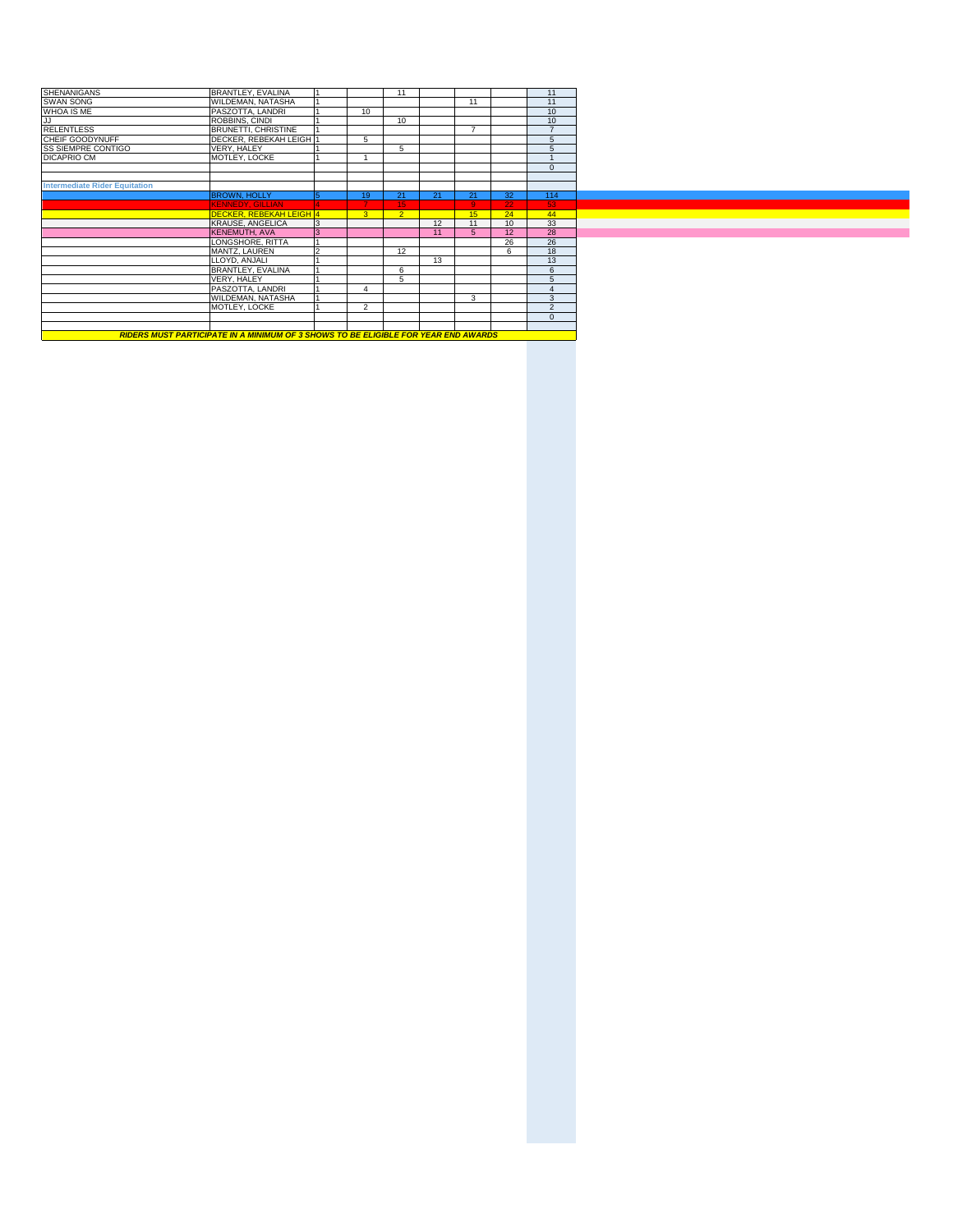| BRANTLEY, EVALINA          |                |                                                           | 11             |    |               |                  | 11               |
|----------------------------|----------------|-----------------------------------------------------------|----------------|----|---------------|------------------|------------------|
| WILDEMAN, NATASHA          |                |                                                           |                |    | 11            |                  | 11               |
| PASZOTTA, LANDRI           |                | 10                                                        |                |    |               |                  | 10 <sup>10</sup> |
| ROBBINS, CINDI             |                |                                                           | 10             |    |               |                  | 10 <sup>10</sup> |
| <b>BRUNETTI, CHRISTINE</b> |                |                                                           |                |    | $\rightarrow$ |                  | $\overline{7}$   |
|                            |                | 5                                                         |                |    |               |                  | 5                |
| VERY, HALEY                |                |                                                           | 5              |    |               |                  | 5                |
| MOTLEY, LOCKE              |                |                                                           |                |    |               |                  |                  |
|                            |                |                                                           |                |    |               |                  | $\Omega$         |
|                            |                |                                                           |                |    |               |                  |                  |
|                            |                |                                                           |                |    |               |                  |                  |
| <b>BROWN, HOLLY</b>        | 5              | 19                                                        | 21             | 21 | 21            | 32 <sup>°</sup>  | 114              |
| <b>KENNEDY, GILLIAN</b>    |                |                                                           | 15             |    | q             | 22               | 53               |
|                            |                | 3 <sup>°</sup>                                            | $\overline{2}$ |    | 15            | 24               | 44               |
| <b>KRAUSE, ANGELICA</b>    | 3              |                                                           |                | 12 | 11            | 10               | 33               |
| KENEMUTH, AVA              | $\overline{3}$ |                                                           |                | 11 | 5             | 12               | 28               |
|                            |                |                                                           |                |    |               | 26               | 26               |
|                            |                |                                                           |                |    |               |                  |                  |
| MANTZ, LAUREN              | $\mathfrak{p}$ |                                                           | 12             |    |               | 6                | 18               |
| LLOYD, ANJALI              |                |                                                           |                | 13 |               |                  | 13               |
| BRANTLEY, EVALINA          |                |                                                           | 6              |    |               |                  | 6                |
| VERY, HALEY                |                |                                                           | 5              |    |               |                  | 5                |
| PASZOTTA, LANDRI           |                |                                                           |                |    |               |                  |                  |
| WILDEMAN, NATASHA          |                |                                                           |                |    | 3             |                  | 3                |
| MOTLEY, LOCKE              |                | $\overline{2}$                                            |                |    |               |                  | $\overline{2}$   |
|                            |                |                                                           |                |    |               |                  | $\Omega$         |
|                            |                |                                                           |                |    |               |                  |                  |
|                            |                | DECKER, REBEKAH LEIGH 1<br><b>DECKER, REBEKAH LEIGH 4</b> |                |    |               | LONGSHORE, RITTA |                  |